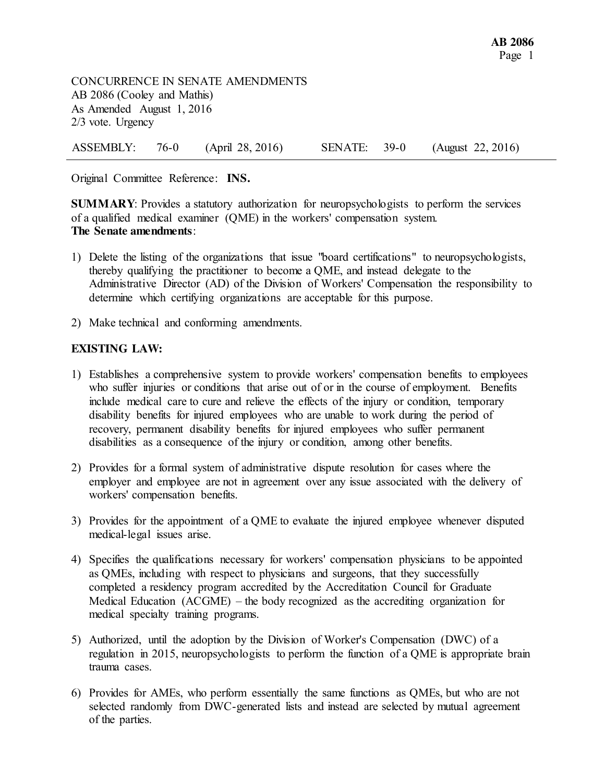CONCURRENCE IN SENATE AMENDMENTS AB 2086 (Cooley and Mathis) As Amended August 1, 2016 2/3 vote. Urgency

ASSEMBLY: 76-0 (April 28, 2016) SENATE: 39-0 (August 22, 2016)

Original Committee Reference: **INS.**

**SUMMARY:** Provides a statutory authorization for neuropsychologists to perform the services of a qualified medical examiner (QME) in the workers' compensation system. **The Senate amendments**:

- 1) Delete the listing of the organizations that issue "board certifications" to neuropsychologists, thereby qualifying the practitioner to become a QME, and instead delegate to the Administrative Director (AD) of the Division of Workers' Compensation the responsibility to determine which certifying organizations are acceptable for this purpose.
- 2) Make technical and conforming amendments.

## **EXISTING LAW:**

- 1) Establishes a comprehensive system to provide workers' compensation benefits to employees who suffer injuries or conditions that arise out of or in the course of employment. Benefits include medical care to cure and relieve the effects of the injury or condition, temporary disability benefits for injured employees who are unable to work during the period of recovery, permanent disability benefits for injured employees who suffer permanent disabilities as a consequence of the injury or condition, among other benefits.
- 2) Provides for a formal system of administrative dispute resolution for cases where the employer and employee are not in agreement over any issue associated with the delivery of workers' compensation benefits.
- 3) Provides for the appointment of a QME to evaluate the injured employee whenever disputed medical-legal issues arise.
- 4) Specifies the qualifications necessary for workers' compensation physicians to be appointed as QMEs, including with respect to physicians and surgeons, that they successfully completed a residency program accredited by the Accreditation Council for Graduate Medical Education (ACGME) – the body recognized as the accrediting organization for medical specialty training programs.
- 5) Authorized, until the adoption by the Division of Worker's Compensation (DWC) of a regulation in 2015, neuropsychologists to perform the function of a QME is appropriate brain trauma cases.
- 6) Provides for AMEs, who perform essentially the same functions as QMEs, but who are not selected randomly from DWC-generated lists and instead are selected by mutual agreement of the parties.